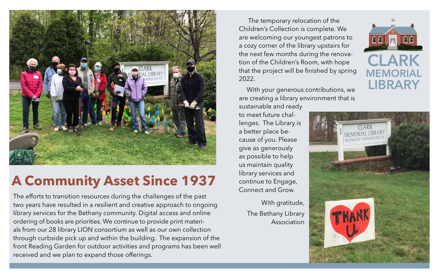

## **A Community Asset Since 1937**

The efforts to transition resources during the challenges of the past two years have resulted in a resilient and creative approach to ongoing library services for the Bethany community. Digital access and online ordering of books are priorities. We continue to provide print materials from our 28 library LION consortium as well as our own collection through curbside pick up and within the building. The expansion of the front Reading Garden for outdoor activities and programs has been well received and we plan to expand those offerings.

 The temporary relocation of the Children's Collection is complete. We are welcoming our youngest patrons to a cozy corner of the library upstairs for the next few months during the renovation of the Children's Room, with hope that the project will be finished by spring 2022.

With your generous contributions, we are creating a library environment that is sustainable and ready

to meet future challenges. The Library is a better place because of you. Please give as generously as possible to help us maintain quality library services and continue to Engage, Connect and Grow.

> With gratitude, The Bethany Library Association